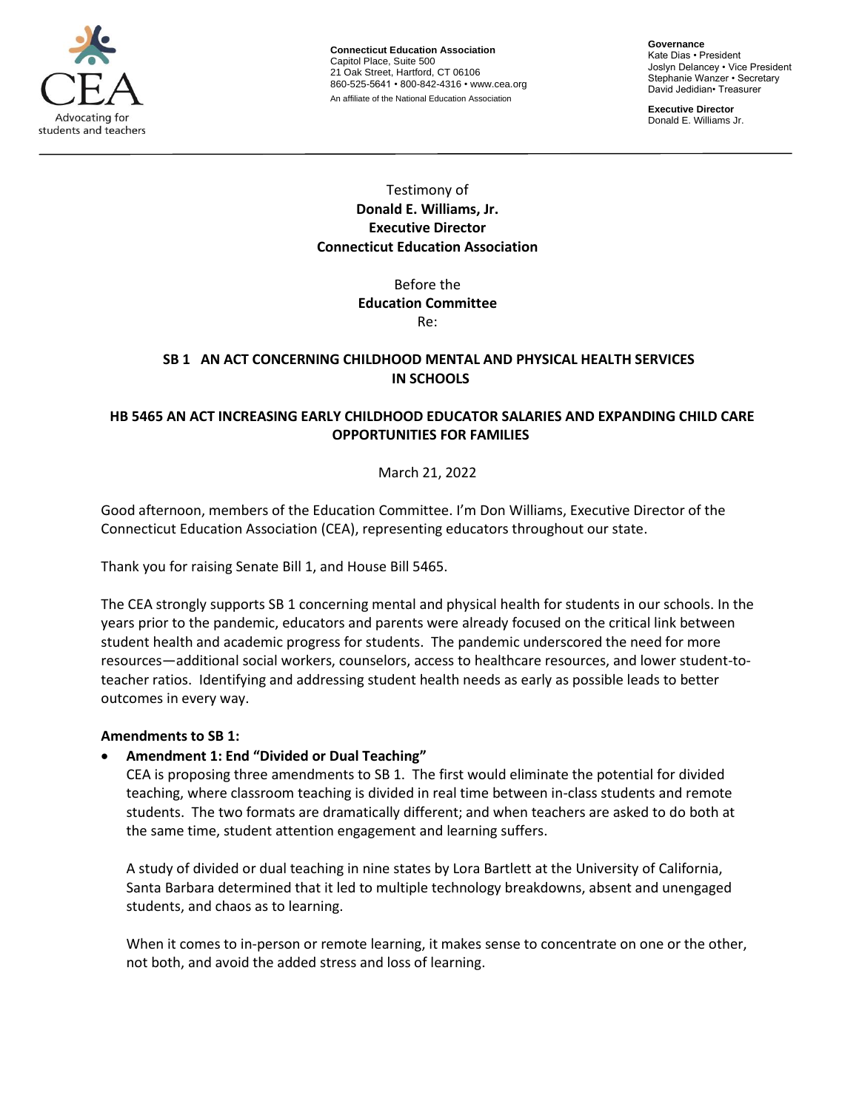

**Connecticut Education Association** Capitol Place, Suite 500 21 Oak Street, Hartford, CT 06106 860-525-5641 • 800-842-4316 • [www.cea.org](http://www.cea.org/) An affiliate of the National Education Association

**Governance** Kate Dias • President Joslyn Delancey • Vice President Stephanie Wanzer • Secretary David Jedidian• Treasurer

**Executive Director**  Donald E. Williams Jr.

# Testimony of **Donald E. Williams, Jr. Executive Director Connecticut Education Association**

# Before the **Education Committee** Re:

### **[SB 1](https://www.cga.ct.gov/asp/cgabillstatus/cgabillstatus.asp?selBillType=Bill&bill_num=SB00001&which_year=2022)   AN ACT CONCERNING CHILDHOOD MENTAL AND PHYSICAL HEALTH SERVICES IN SCHOOLS**

# **[HB 5465](http://www.cga.ct.gov/asp/cgabillstatus/cgabillstatus.asp?selBillType=Bill&bill_num=HB05465&which_year=2022) AN ACT INCREASING EARLY CHILDHOOD EDUCATOR SALARIES AND EXPANDING CHILD CARE OPPORTUNITIES FOR FAMILIES**

# March 21, 2022

Good afternoon, members of the Education Committee. I'm Don Williams, Executive Director of the Connecticut Education Association (CEA), representing educators throughout our state.

Thank you for raising Senate Bill 1, and House Bill 5465.

The CEA strongly supports SB 1 concerning mental and physical health for students in our schools. In the years prior to the pandemic, educators and parents were already focused on the critical link between student health and academic progress for students. The pandemic underscored the need for more resources—additional social workers, counselors, access to healthcare resources, and lower student-toteacher ratios. Identifying and addressing student health needs as early as possible leads to better outcomes in every way.

### **Amendments to SB 1:**

• **Amendment 1: End "Divided or Dual Teaching"**

CEA is proposing three amendments to SB 1. The first would eliminate the potential for divided teaching, where classroom teaching is divided in real time between in-class students and remote students. The two formats are dramatically different; and when teachers are asked to do both at the same time, student attention engagement and learning suffers.

A study of divided or dual teaching in nine states by Lora Bartlett at the University of California, Santa Barbara determined that it led to multiple technology breakdowns, absent and unengaged students, and chaos as to learning.

When it comes to in-person or remote learning, it makes sense to concentrate on one or the other, not both, and avoid the added stress and loss of learning.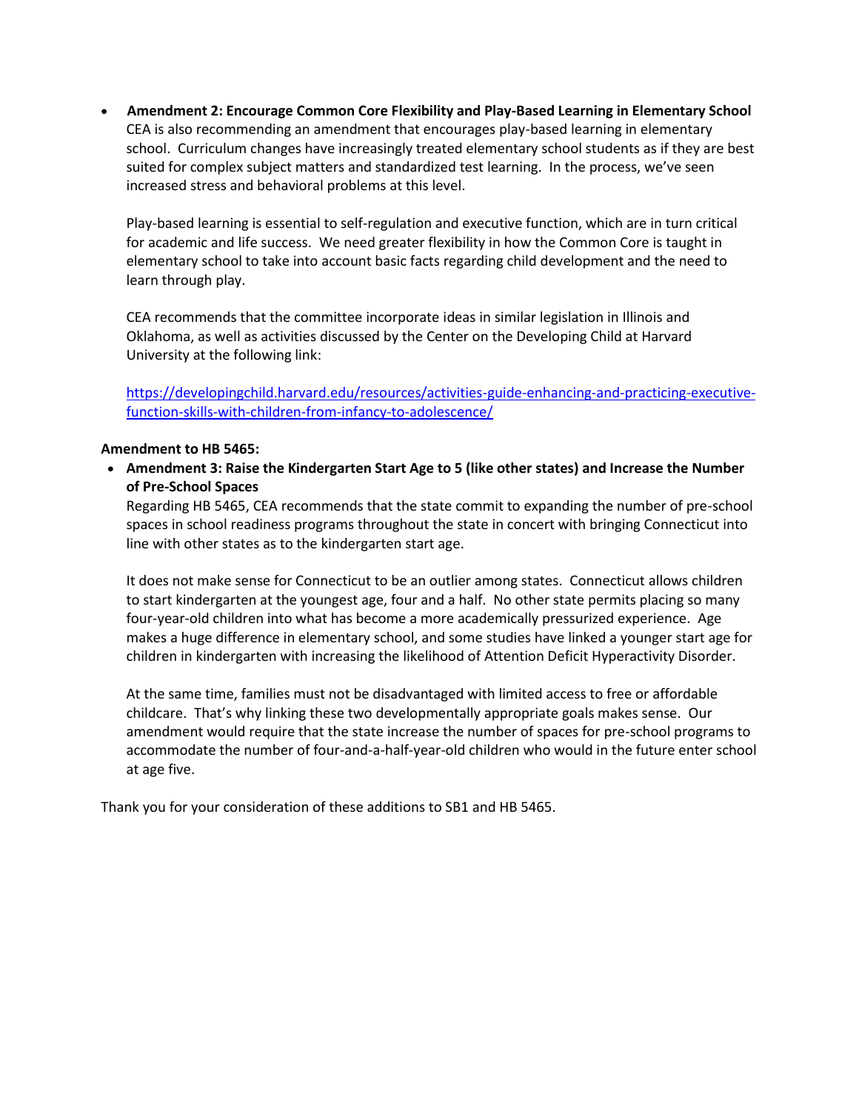• **Amendment 2: Encourage Common Core Flexibility and Play-Based Learning in Elementary School** CEA is also recommending an amendment that encourages play-based learning in elementary school. Curriculum changes have increasingly treated elementary school students as if they are best suited for complex subject matters and standardized test learning. In the process, we've seen increased stress and behavioral problems at this level.

Play-based learning is essential to self-regulation and executive function, which are in turn critical for academic and life success. We need greater flexibility in how the Common Core is taught in elementary school to take into account basic facts regarding child development and the need to learn through play.

CEA recommends that the committee incorporate ideas in similar legislation in Illinois and Oklahoma, as well as activities discussed by the Center on the Developing Child at Harvard University at the following link:

[https://developingchild.harvard.edu/resources/activities-guide-enhancing-and-practicing-executive](https://developingchild.harvard.edu/resources/activities-guide-enhancing-and-practicing-executive-function-skills-with-children-from-infancy-to-adolescence/)[function-skills-with-children-from-infancy-to-adolescence/](https://developingchild.harvard.edu/resources/activities-guide-enhancing-and-practicing-executive-function-skills-with-children-from-infancy-to-adolescence/)

#### **Amendment to HB 5465:**

• **Amendment 3: Raise the Kindergarten Start Age to 5 (like other states) and Increase the Number of Pre-School Spaces**

Regarding HB 5465, CEA recommends that the state commit to expanding the number of pre-school spaces in school readiness programs throughout the state in concert with bringing Connecticut into line with other states as to the kindergarten start age.

It does not make sense for Connecticut to be an outlier among states. Connecticut allows children to start kindergarten at the youngest age, four and a half. No other state permits placing so many four-year-old children into what has become a more academically pressurized experience. Age makes a huge difference in elementary school, and some studies have linked a younger start age for children in kindergarten with increasing the likelihood of Attention Deficit Hyperactivity Disorder.

At the same time, families must not be disadvantaged with limited access to free or affordable childcare. That's why linking these two developmentally appropriate goals makes sense. Our amendment would require that the state increase the number of spaces for pre-school programs to accommodate the number of four-and-a-half-year-old children who would in the future enter school at age five.

Thank you for your consideration of these additions to SB1 and HB 5465.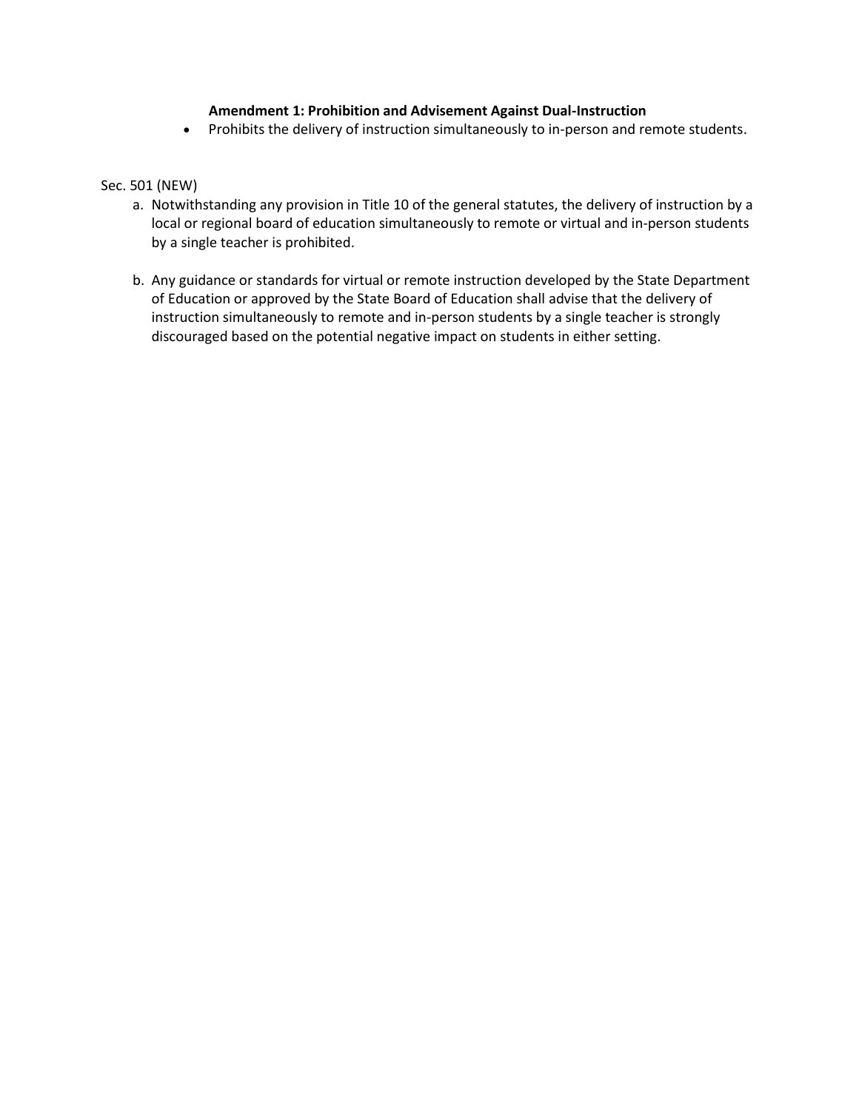### **Amendment 1: Prohibition and Advisement Against Dual-Instruction**

• Prohibits the delivery of instruction simultaneously to in-person and remote students.

### Sec. 501 (NEW)

- a. Notwithstanding any provision in Title 10 of the general statutes, the delivery of instruction by a local or regional board of education simultaneously to remote or virtual and in-person students by a single teacher is prohibited.
- b. Any guidance or standards for virtual or remote instruction developed by the State Department of Education or approved by the State Board of Education shall advise that the delivery of instruction simultaneously to remote and in-person students by a single teacher is strongly discouraged based on the potential negative impact on students in either setting.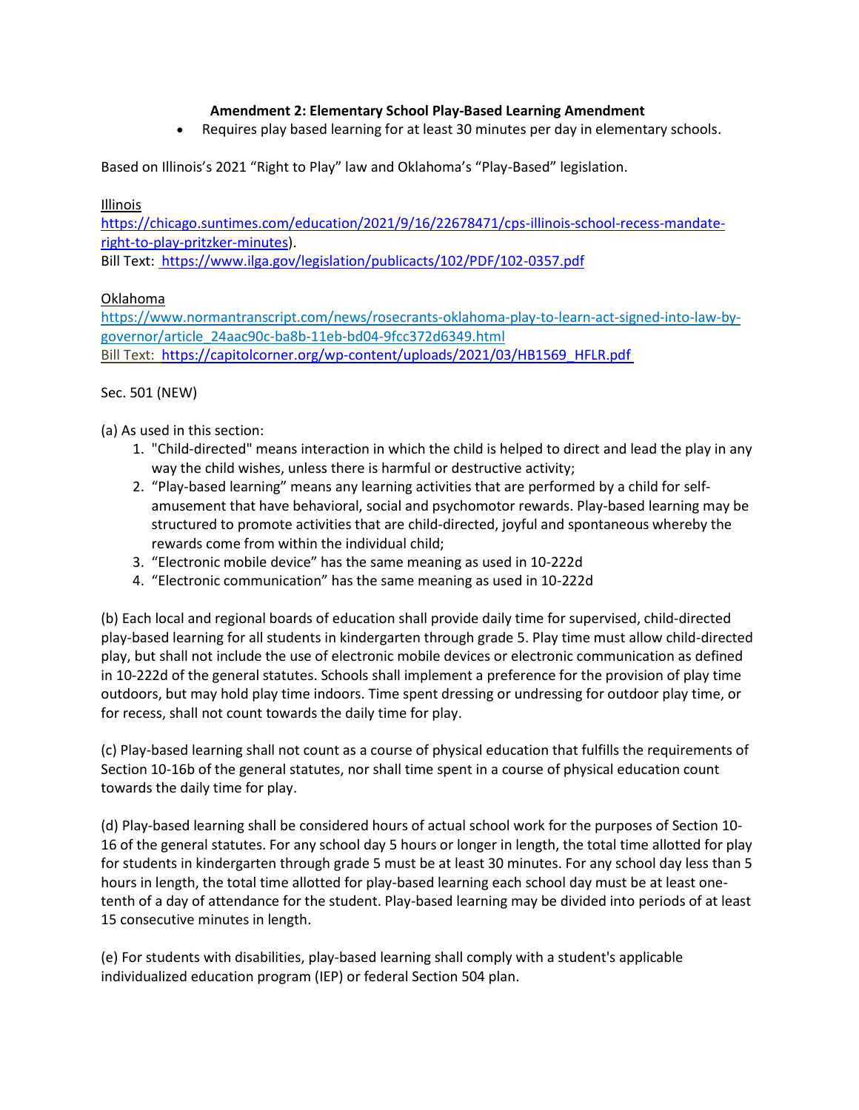# **Amendment 2: Elementary School Play-Based Learning Amendment**

• Requires play based learning for at least 30 minutes per day in elementary schools.

Based on Illinois's 2021 "Right to Play" law and Oklahoma's "Play-Based" legislation.

### Illinois

[https://chicago.suntimes.com/education/2021/9/16/22678471/cps-illinois-school-recess-mandate](https://chicago.suntimes.com/education/2021/9/16/22678471/cps-illinois-school-recess-mandate-right-to-play-pritzker-minutes)[right-to-play-pritzker-minutes](https://chicago.suntimes.com/education/2021/9/16/22678471/cps-illinois-school-recess-mandate-right-to-play-pritzker-minutes)). 

Bill Text: <https://www.ilga.gov/legislation/publicacts/102/PDF/102-0357.pdf>

# Oklahoma

[https://www.normantranscript.com/news/rosecrants-oklahoma-play-to-learn-act-signed-into-law-by](https://www.normantranscript.com/news/rosecrants-oklahoma-play-to-learn-act-signed-into-law-by-governor/article_24aac90c-ba8b-11eb-bd04-9fcc372d6349.html)[governor/article\\_24aac90c-ba8b-11eb-bd04-9fcc372d6349.html](https://www.normantranscript.com/news/rosecrants-oklahoma-play-to-learn-act-signed-into-law-by-governor/article_24aac90c-ba8b-11eb-bd04-9fcc372d6349.html) Bill Text: [https://capitolcorner.org/wp-content/uploads/2021/03/HB1569\\_HFLR.pdf](https://capitolcorner.org/wp-content/uploads/2021/03/HB1569_HFLR.pdf)

## Sec. 501 (NEW)

(a) As used in this section:

- 1. "Child-directed" means interaction in which the child is helped to direct and lead the play in any way the child wishes, unless there is harmful or destructive activity;
- 2. "Play-based learning" means any learning activities that are performed by a child for selfamusement that have behavioral, social and psychomotor rewards. Play-based learning may be structured to promote activities that are child-directed, joyful and spontaneous whereby the rewards come from within the individual child;
- 3. "Electronic mobile device" has the same meaning as used in 10-222d
- 4. "Electronic communication" has the same meaning as used in 10-222d

(b) Each local and regional boards of education shall provide daily time for supervised, child-directed play-based learning for all students in kindergarten through grade 5. Play time must allow child-directed play, but shall not include the use of electronic mobile devices or electronic communication as defined in 10-222d of the general statutes. Schools shall implement a preference for the provision of play time outdoors, but may hold play time indoors. Time spent dressing or undressing for outdoor play time, or for recess, shall not count towards the daily time for play.

(c) Play-based learning shall not count as a course of physical education that fulfills the requirements of Section 10-16b of the general statutes, nor shall time spent in a course of physical education count towards the daily time for play.

(d) Play-based learning shall be considered hours of actual school work for the purposes of Section 10- 16 of the general statutes. For any school day 5 hours or longer in length, the total time allotted for play for students in kindergarten through grade 5 must be at least 30 minutes. For any school day less than 5 hours in length, the total time allotted for play-based learning each school day must be at least onetenth of a day of attendance for the student. Play-based learning may be divided into periods of at least 15 consecutive minutes in length.

(e) For students with disabilities, play-based learning shall comply with a student's applicable individualized education program (IEP) or federal Section 504 plan.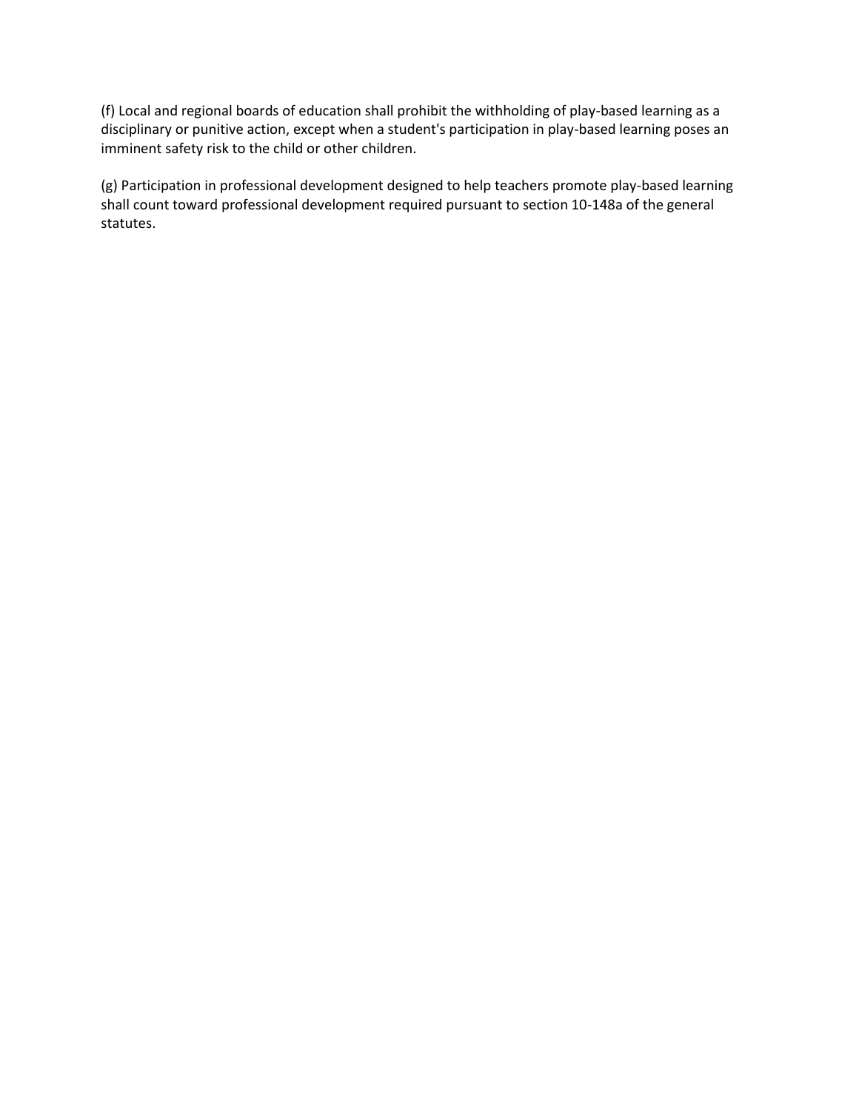(f) Local and regional boards of education shall prohibit the withholding of play-based learning as a disciplinary or punitive action, except when a student's participation in play-based learning poses an imminent safety risk to the child or other children.

(g) Participation in professional development designed to help teachers promote play-based learning shall count toward professional development required pursuant to section 10-148a of the general statutes.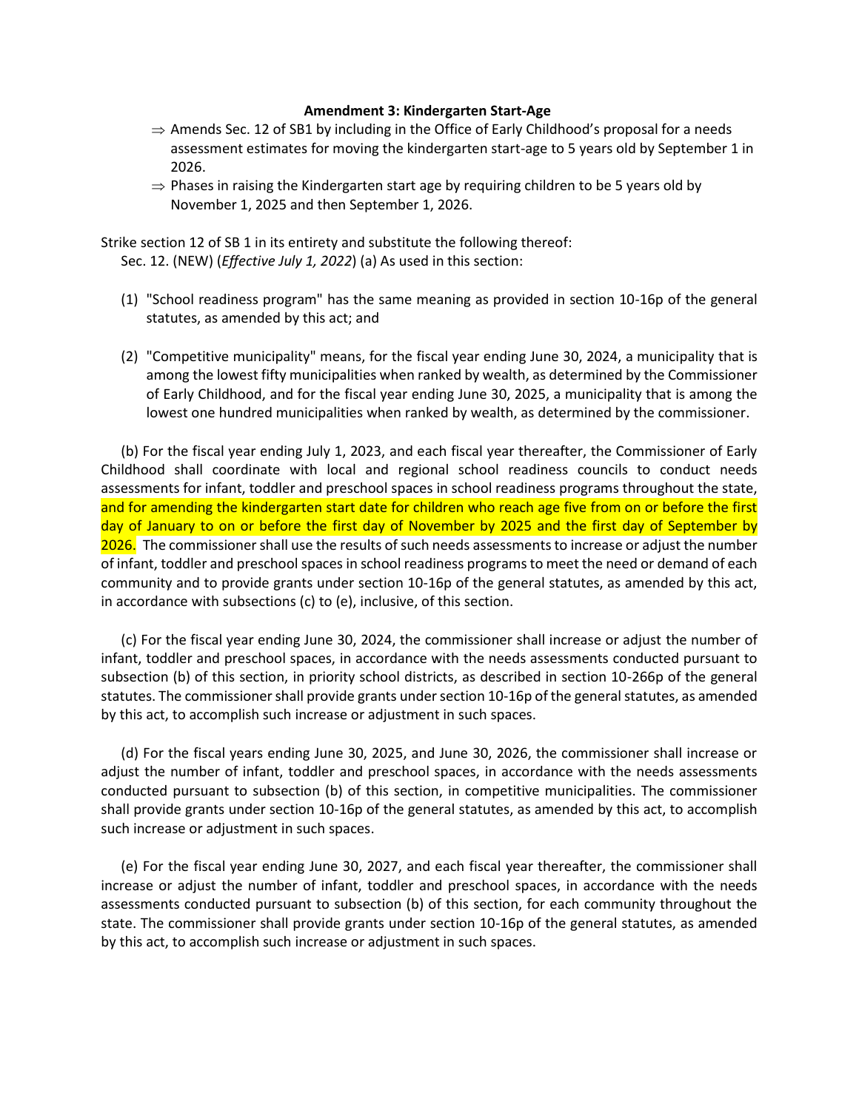#### **Amendment 3: Kindergarten Start-Age**

- $\Rightarrow$  Amends Sec. 12 of SB1 by including in the Office of Early Childhood's proposal for a needs assessment estimates for moving the kindergarten start-age to 5 years old by September 1 in 2026.
- $\Rightarrow$  Phases in raising the Kindergarten start age by requiring children to be 5 years old by November 1, 2025 and then September 1, 2026.

Strike section 12 of SB 1 in its entirety and substitute the following thereof: Sec. 12. (NEW) (*Effective July 1, 2022*) (a) As used in this section:

- (1) "School readiness program" has the same meaning as provided in section 10-16p of the general statutes, as amended by this act; and
- (2) "Competitive municipality" means, for the fiscal year ending June 30, 2024, a municipality that is among the lowest fifty municipalities when ranked by wealth, as determined by the Commissioner of Early Childhood, and for the fiscal year ending June 30, 2025, a municipality that is among the lowest one hundred municipalities when ranked by wealth, as determined by the commissioner.

(b) For the fiscal year ending July 1, 2023, and each fiscal year thereafter, the Commissioner of Early Childhood shall coordinate with local and regional school readiness councils to conduct needs assessments for infant, toddler and preschool spaces in school readiness programs throughout the state, and for amending the kindergarten start date for children who reach age five from on or before the first day of January to on or before the first day of November by 2025 and the first day of September by 2026. The commissioner shall use the results of such needs assessments to increase or adjust the number of infant, toddler and preschool spaces in school readiness programs to meet the need or demand of each community and to provide grants under section 10-16p of the general statutes, as amended by this act, in accordance with subsections (c) to (e), inclusive, of this section.

(c) For the fiscal year ending June 30, 2024, the commissioner shall increase or adjust the number of infant, toddler and preschool spaces, in accordance with the needs assessments conducted pursuant to subsection (b) of this section, in priority school districts, as described in section 10-266p of the general statutes. The commissioner shall provide grants under section 10-16p of the general statutes, as amended by this act, to accomplish such increase or adjustment in such spaces.

(d) For the fiscal years ending June 30, 2025, and June 30, 2026, the commissioner shall increase or adjust the number of infant, toddler and preschool spaces, in accordance with the needs assessments conducted pursuant to subsection (b) of this section, in competitive municipalities. The commissioner shall provide grants under section 10-16p of the general statutes, as amended by this act, to accomplish such increase or adjustment in such spaces.

(e) For the fiscal year ending June 30, 2027, and each fiscal year thereafter, the commissioner shall increase or adjust the number of infant, toddler and preschool spaces, in accordance with the needs assessments conducted pursuant to subsection (b) of this section, for each community throughout the state. The commissioner shall provide grants under section 10-16p of the general statutes, as amended by this act, to accomplish such increase or adjustment in such spaces.